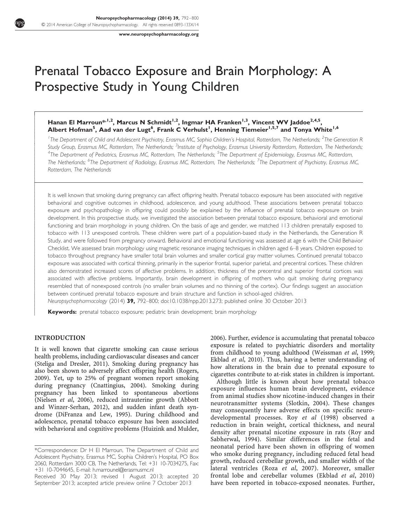[www.neuropsychopharmacology.org](http://www.neuropsychopharmacology.org)

# Prenatal Tobacco Exposure and Brain Morphology: A Prospective Study in Young Children

# Hanan El Marroun<sup>\*, 1,2</sup>, Marcus N Schmidt<sup>1,2</sup>, Ingmar HA Franken<sup>1,3</sup>, Vincent WV Jaddoe<sup>2,4,5</sup>, Albert Hofman<sup>5</sup>, Aad van der Lugt<sup>6</sup>, Frank C Verhulst<sup>1</sup>, Henning Tiemeier<sup>1,5,7</sup> and Tonya White<sup>1,6</sup>

<sup>1</sup>The Department of Child and Adolescent Psychiatry, Erasmus MC, Sophia Children's Hospital, Rotterdam, The Netherlands; <sup>2</sup>The Generation R Study Group, Erasmus MC, Rotterdam, The Netherlands; <sup>3</sup>Institute of Psychology, Erasmus University Rotterdam, Rotterdam, The Netherlands, <sup>4</sup>The Department of Pediatrics, Erasmus MC, Rotterdam, The Netherlands; <sup>5</sup>The Department of Epidemiology, Erasmus MC, Rotterdam, The Netherlands; <sup>6</sup>The Department of Radiology, Erasmus MC, Rotterdam, The Netherlands; <sup>7</sup>The Department of Psychiatry, Erasmus MC, Rotterdam, The Netherlands

It is well known that smoking during pregnancy can affect offspring health. Prenatal tobacco exposure has been associated with negative behavioral and cognitive outcomes in childhood, adolescence, and young adulthood. These associations between prenatal tobacco exposure and psychopathology in offspring could possibly be explained by the influence of prenatal tobacco exposure on brain development. In this prospective study, we investigated the association between prenatal tobacco exposure, behavioral and emotional functioning and brain morphology in young children. On the basis of age and gender, we matched 113 children prenatally exposed to tobacco with 113 unexposed controls. These children were part of a population-based study in the Netherlands, the Generation R Study, and were followed from pregnancy onward. Behavioral and emotional functioning was assessed at age 6 with the Child Behavior Checklist. We assessed brain morphology using magnetic resonance imaging techniques in children aged 6–8 years. Children exposed to tobacco throughout pregnancy have smaller total brain volumes and smaller cortical gray matter volumes. Continued prenatal tobacco exposure was associated with cortical thinning, primarily in the superior frontal, superior parietal, and precentral cortices. These children also demonstrated increased scores of affective problems. In addition, thickness of the precentral and superior frontal cortices was associated with affective problems. Importantly, brain development in offspring of mothers who quit smoking during pregnancy resembled that of nonexposed controls (no smaller brain volumes and no thinning of the cortex). Our findings suggest an association between continued prenatal tobacco exposure and brain structure and function in school-aged children.

Neuropsychopharmacology (2014) 39, 792–800; doi:[10.1038/npp.2013.273](http://dx.doi.org/10.1038/npp.2013.273); published online 30 October 2013

Keywords: prenatal tobacco exposure; pediatric brain development; brain morphology

## INTRODUCTION

-- $\overline{\phantom{a}}$  $\overline{\phantom{a}}$  $\overline{\phantom{a}}$  $\overline{\phantom{a}}$  $\overline{\phantom{a}}$  $\overline{\phantom{a}}$  $\overline{\phantom{a}}$  $\overline{\phantom{a}}$  $\overline{\phantom{a}}$  $\overline{\phantom{a}}$  $\overline{\phantom{a}}$  $\overline{\phantom{a}}$  $\overline{\phantom{a}}$  $\overline{\phantom{a}}$  $\overline{\phantom{a}}$  $\overline{\phantom{a}}$  $\overline{\phantom{a}}$  $\overline{\phantom{a}}$  $\overline{\phantom{a}}$ - $\overline{\phantom{a}}$  $\overline{\phantom{a}}$  $\overline{\phantom{a}}$  $\overline{\phantom{a}}$  $\overline{\phantom{a}}$  $\overline{\phantom{a}}$  $\overline{\phantom{a}}$  $\overline{\phantom{a}}$  $\overline{\phantom{a}}$  $\overline{\phantom{a}}$  $\overline{\phantom{a}}$  $\overline{\phantom{a}}$  $\overline{\phantom{a}}$  $\overline{\phantom{a}}$  $\overline{\phantom{a}}$  $\overline{\phantom{a}}$  $\overline{\phantom{a}}$  $\overline{\phantom{a}}$  $\overline{\phantom{a}}$  $\overline{\phantom{a}}$  $\overline{\phantom{a}}$  $\overline{\phantom{a}}$  $\overline{\phantom{a}}$  $\overline{\phantom{a}}$  $\overline{\phantom{a}}$  $\overline{\phantom{a}}$  $\overline{\phantom{a}}$  $\overline{\phantom{a}}$  $\overline{\phantom{a}}$  $\overline{\phantom{a}}$  $\overline{\phantom{a}}$  $\overline{\phantom{a}}$  $\overline{\phantom{a}}$  $\overline{\phantom{a}}$  $\overline{\phantom{a}}$  $\overline{\phantom{a}}$  $\overline{\phantom{a}}$ 

It is well known that cigarette smoking can cause serious health problems, including cardiovascular diseases and cancer ([Steliga and Dresler, 2011\)](#page-8-0). Smoking during pregnancy has also been shown to adversely affect offspring health [\(Rogers,](#page-8-0) [2009\)](#page-8-0). Yet, up to 25% of pregnant women report smoking during pregnancy ([Cnattingius, 2004\)](#page-7-0). Smoking during pregnancy has been linked to spontaneous abortions ([Nielsen](#page-8-0) et al, 2006), reduced intrauterine growth [\(Abbott](#page-7-0) [and Winzer-Serhan, 2012\)](#page-7-0), and sudden infant death syndrome ([DiFranza and Lew, 1995](#page-7-0)). During childhood and adolescence, prenatal tobacco exposure has been associated with behavioral and cognitive problems [\(Huizink and Mulder,](#page-8-0)

[2006\)](#page-8-0). Further, evidence is accumulating that prenatal tobacco exposure is related to psychiatric disorders and mortality from childhood to young adulthood [\(Weissman](#page-8-0) et al, 1999; [Ekblad](#page-8-0) et al, 2010). Thus, having a better understanding of how alterations in the brain due to prenatal exposure to cigarettes contribute to at-risk states in children is important.

Although little is known about how prenatal tobacco exposure influences human brain development, evidence from animal studies show nicotine-induced changes in their neurotransmitter systems [\(Slotkin, 2004](#page-8-0)). These changes may consequently have adverse effects on specific neurodevelopmental processes. Roy et al [\(1998\)](#page-8-0) observed a reduction in brain weight, cortical thickness, and neural density after prenatal nicotine exposure in rats [\(Roy and](#page-8-0) [Sabherwal, 1994](#page-8-0)). Similar differences in the fetal and neonatal period have been shown in offspring of women who smoke during pregnancy, including reduced fetal head growth, reduced cerebellar growth, and smaller width of the lateral ventricles (Roza et al[, 2007](#page-8-0)). Moreover, smaller frontal lobe and cerebellar volumes [\(Ekblad](#page-8-0) et al, 2010) have been reported in tobacco-exposed neonates. Further,

<sup>\*</sup>Correspondence: Dr H El Marroun, The Department of Child and Adolescent Psychiatry, Erasmus MC, Sophia Children's Hospital, PO Box 2060, Rotterdam 3000 CB, The Netherlands, Tel: +31 10-7034275, Fax: +31 10-7044645, E-mail: [h.marrounel@erasmusmc.nl](mailto:h.marrounel@erasmusmc.nl)

Received 30 May 2013; revised I August 2013; accepted 20 September 2013; accepted article preview online 7 October 2013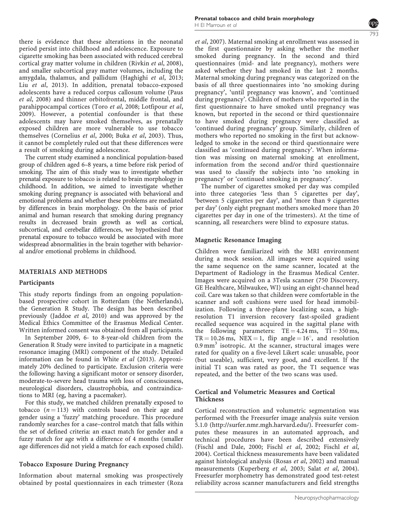there is evidence that these alterations in the neonatal period persist into childhood and adolescence. Exposure to cigarette smoking has been associated with reduced cerebral cortical gray matter volume in children [\(Rivkin](#page-8-0) et al, 2008), and smaller subcortical gray matter volumes, including the amygdala, thalamus, and pallidum ([Haghighi](#page-8-0) et al, 2013; Liu et al[, 2013](#page-8-0)). In addition, prenatal tobacco-exposed adolescents have a reduced corpus callosum volume [\(Paus](#page-8-0) et al[, 2008](#page-8-0)) and thinner orbitofrontal, middle frontal, and parahippocampal cortices (Toro et al[, 2008; Lotfipour](#page-8-0) et al, [2009\)](#page-8-0). However, a potential confounder is that these adolescents may have smoked themselves, as prenatally exposed children are more vulnerable to use tobacco themselves [\(Cornelius](#page-7-0) et al, 2000; Buka et al[, 2003](#page-7-0)). Thus, it cannot be completely ruled out that these differences were a result of smoking during adolescence.

The current study examined a nonclinical population-based group of children aged 6–8 years, a time before risk period of smoking. The aim of this study was to investigate whether prenatal exposure to tobacco is related to brain morphology in childhood. In addition, we aimed to investigate whether smoking during pregnancy is associated with behavioral and emotional problems and whether these problems are mediated by differences in brain morphology. On the basis of prior animal and human research that smoking during pregnancy results in decreased brain growth as well as cortical, subcortical, and cerebellar differences, we hypothesized that prenatal exposure to tobacco would be associated with more widespread abnormalities in the brain together with behavioral and/or emotional problems in childhood.

#### MATERIALS AND METHODS

## Participants

This study reports findings from an ongoing populationbased prospective cohort in Rotterdam (the Netherlands), the Generation R Study. The design has been described previously [\(Jaddoe](#page-8-0) et al, 2010) and was approved by the Medical Ethics Committee of the Erasmus Medical Center. Written informed consent was obtained from all participants.

In September 2009, 6- to 8-year-old children from the Generation R Study were invited to participate in a magnetic resonance imaging (MRI) component of the study. Detailed information can be found in White et al [\(2013\)](#page-8-0). Approximately 20% declined to participate. Exclusion criteria were the following: having a significant motor or sensory disorder, moderate-to-severe head trauma with loss of consciousness, neurological disorders, claustrophobia, and contraindications to MRI (eg, having a pacemaker).

For this study, we matched children prenatally exposed to tobacco  $(n = 113)$  with controls based on their age and gender using a 'fuzzy' matching procedure. This procedure randomly searches for a case–control match that falls within the set of defined criteria: an exact match for gender and a fuzzy match for age with a difference of 4 months (smaller age differences did not yield a match for each exposed child).

## Tobacco Exposure During Pregnancy

Information about maternal smoking was prospectively obtained by postal questionnaires in each trimester [\(Roza](#page-8-0) et al[, 2007](#page-8-0)). Maternal smoking at enrollment was assessed in the first questionnaire by asking whether the mother smoked during pregnancy. In the second and third questionnaires (mid- and late pregnancy), mothers were asked whether they had smoked in the last 2 months. Maternal smoking during pregnancy was categorized on the basis of all three questionnaires into 'no smoking during pregnancy', 'until pregnancy was known', and 'continued during pregnancy'. Children of mothers who reported in the first questionnaire to have smoked until pregnancy was known, but reported in the second or third questionnaire to have smoked during pregnancy were classified as 'continued during pregnancy' group. Similarly, children of mothers who reported no smoking in the first but acknowledged to smoke in the second or third questionnaire were classified as 'continued during pregnancy'. When information was missing on maternal smoking at enrollment, information from the second and/or third questionnaire was used to classify the subjects into 'no smoking in pregnancy' or 'continued smoking in pregnancy'.

The number of cigarettes smoked per day was compiled into three categories 'less than 5 cigarettes per day', 'between 5 cigarettes per day', and 'more than 9 cigarettes per day' (only eight pregnant mothers smoked more than 20 cigarettes per day in one of the trimesters). At the time of scanning, all researchers were blind to exposure status.

#### Magnetic Resonance Imaging

Children were familiarized with the MRI environment during a mock session. All images were acquired using the same sequence on the same scanner, located at the Department of Radiology in the Erasmus Medical Center. Images were acquired on a 3Tesla scanner (750 Discovery, GE Healthcare, Milwaukee, WI) using an eight-channel head coil. Care was taken so that children were comfortable in the scanner and soft cushions were used for head immobilization. Following a three-plane localizing scan, a highresolution T1 inversion recovery fast-spoiled gradient recalled sequence was acquired in the sagittal plane with the following parameters:  $TE = 4.24$  ms,  $TI = 350$  ms,  $TR = 10.26$  ms,  $NEX = 1$ , flip angle = 16°, and resolution  $0.9 \text{ mm}^3$  isotropic. At the scanner, structural images were rated for quality on a five-level Likert scale: unusable, poor (but useable), sufficient, very good, and excellent. If the initial T1 scan was rated as poor, the T1 sequence was repeated, and the better of the two scans was used.

### Cortical and Volumetric Measures and Cortical Thickness

Cortical reconstruction and volumetric segmentation was performed with the Freesurfer image analysis suite version 5.1.0 (<http://surfer.nmr.mgh.harvard.edu/>). Freesurfer computes these measures in an automated approach, and technical procedures have been described extensively [\(Fischl and Dale, 2000](#page-8-0); Fischl et al[, 2002](#page-8-0); [Fischl](#page-8-0) et al, [2004\)](#page-8-0). Cortical thickness measurements have been validated against histological analysis (Rosas et al[, 2002\)](#page-8-0) and manual measurements [\(Kuperberg](#page-8-0) et al, 2003; Salat et al[, 2004\)](#page-8-0). Freesurfer morphometry has demonstrated good test-retest reliability across scanner manufacturers and field strengths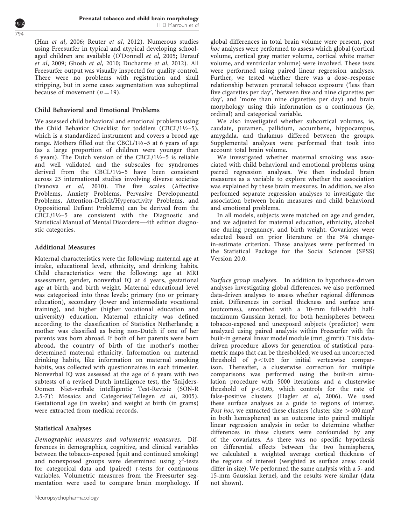(Han et al[, 2006](#page-8-0); [Reuter](#page-8-0) et al, 2012). Numerous studies using Freesurfer in typical and atypical developing schoolaged children are available ([O'Donnell](#page-8-0) et al, 2005; [Derauf](#page-7-0) et al[, 2009](#page-7-0); [Ghosh](#page-8-0) et al, 2010; [Ducharme](#page-7-0) et al, 2012). All Freesurfer output was visually inspected for quality control. There were no problems with registration and skull stripping, but in some cases segmentation was suboptimal because of movement  $(n = 19)$ .

# Child Behavioral and Emotional Problems

We assessed child behavioral and emotional problems using the Child Behavior Checklist for toddlers (CBCL/1½–5), which is a standardized instrument and covers a broad age range. Mothers filled out the CBCL/1 $\frac{1}{2}$ –5 at 6 years of age (as a large proportion of children were younger than 6 years). The Dutch version of the CBCL/1½–5 is reliable and well validated and the subscales for syndromes derived from the CBCL/1½–5 have been consistent across 23 international studies involving diverse societies ([Ivanova](#page-8-0) et al, 2010). The five scales (Affective Problems, Anxiety Problems, Pervasive Developmental Problems, Attention-Deficit/Hyperactivity Problems, and Oppositional Defiant Problems) can be derived from the CBCL/1½–5 are consistent with the Diagnostic and Statistical Manual of Mental Disorders—4th edition diagnostic categories.

# Additional Measures

Maternal characteristics were the following: maternal age at intake, educational level, ethnicity, and drinking habits. Child characteristics were the following: age at MRI assessment, gender, nonverbal IQ at 6 years, gestational age at birth, and birth weight. Maternal educational level was categorized into three levels: primary (no or primary education), secondary (lower and intermediate vocational training), and higher (higher vocational education and university) education. Maternal ethnicity was defined according to the classification of Statistics Netherlands; a mother was classified as being non-Dutch if one of her parents was born abroad. If both of her parents were born abroad, the country of birth of the mother's mother determined maternal ethnicity. Information on maternal drinking habits, like information on maternal smoking habits, was collected with questionnaires in each trimester. Nonverbal IQ was assessed at the age of 6 years with two subtests of a revised Dutch intelligence test, the 'Snijders-Oomen Niet-verbale intelligentie Test-Revisie (SON-R 2.5-7)': Mosaics and Categories([Tellegen](#page-8-0) et al, 2005). Gestational age (in weeks) and weight at birth (in grams) were extracted from medical records.

# Statistical Analyses

Demographic measures and volumetric measures. Differences in demographics, cognitive, and clinical variables between the tobacco-exposed (quit and continued smoking) and nonexposed groups were determined using  $\chi^2$ -tests for categorical data and (paired) t-tests for continuous variables. Volumetric measures from the Freesurfer segmentation were used to compare brain morphology. If

global differences in total brain volume were present, post hoc analyses were performed to assess which global (cortical volume, cortical gray matter volume, cortical white matter volume, and ventricular volume) were involved. These tests were performed using paired linear regression analyses. Further, we tested whether there was a dose–response relationship between prenatal tobacco exposure ('less than five cigarettes per day', 'between five and nine cigarettes per day', and 'more than nine cigarettes per day) and brain morphology using this information as a continuous (ie, ordinal) and categorical variable.

We also investigated whether subcortical volumes, ie, caudate, putamen, pallidum, accumbens, hippocampus, amygdala, and thalamus differed between the groups. Supplemental analyses were performed that took into account total brain volume.

We investigated whether maternal smoking was associated with child behavioral and emotional problems using paired regression analyses. We then included brain measures as a variable to explore whether the association was explained by these brain measures. In addition, we also performed separate regression analyses to investigate the association between brain measures and child behavioral and emotional problems.

In all models, subjects were matched on age and gender, and we adjusted for maternal education, ethnicity, alcohol use during pregnancy, and birth weight. Covariates were selected based on prior literature or the 5% changein-estimate criterion. These analyses were performed in the Statistical Package for the Social Sciences (SPSS) Version 20.0.

Surface group analyses. In addition to hypothesis-driven analyses investigating global differences, we also performed data-driven analyses to assess whether regional differences exist. Differences in cortical thickness and surface area (outcomes), smoothed with a 10-mm full-width halfmaximum Gaussian kernel, for both hemispheres between tobacco-exposed and unexposed subjects (predictor) were analyzed using paired analysis within Freesurfer with the built-in general linear model module (mri\_glmfit). This datadriven procedure allows for generation of statistical parametric maps that can be thresholded; we used an uncorrected threshold of  $p < 0.05$  for initial vertexwise comparison. Thereafter, a clusterwise correction for multiple comparisons was performed using the built-in simulation procedure with 5000 iterations and a clusterwise threshold of  $p < 0.05$ , which controls for the rate of false-positive clusters (Hagler et al[, 2006](#page-8-0)). We used these surface analyses as a guide to regions of interest. Post hoc, we extracted these clusters (cluster size  $>400$  mm<sup>2</sup> in both hemispheres) as an outcome into paired multiple linear regression analysis in order to determine whether differences in these clusters were confounded by any of the covariates. As there was no specific hypothesis on differential effects between the two hemispheres, we calculated a weighted average cortical thickness of the regions of interest (weighted as surface areas could differ in size). We performed the same analysis with a 5- and 15-mm Gaussian kernel, and the results were similar (data not shown).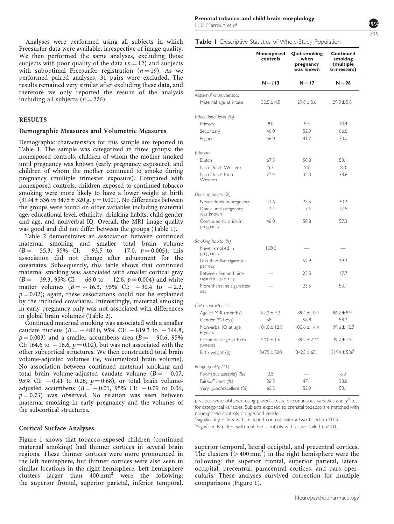Analyses were performed using all subjects in which Freesurfer data were available, irrespective of image quality. We then performed the same analyses, excluding those subjects with poor quality of the data ( $n = 12$ ) and subjects with suboptimal Freesurfer registration ( $n = 19$ ). As we performed paired analyses, 31 pairs were excluded. The results remained very similar after excluding these data, and therefore we only reported the results of the analysis including all subjects  $(n = 226)$ .

## RESULTS

#### Demographic Measures and Volumetric Measures

Demographic characteristics for this sample are reported in Table 1. The sample was categorized in three groups: the nonexposed controls, children of whom the mother smoked until pregnancy was known (early pregnancy exposure), and children of whom the mother continued to smoke during pregnancy (multiple trimester exposure). Compared with nonexposed controls, children exposed to continued tobacco smoking were more likely to have a lower weight at birth (3194 $\pm$  536 *vs* 3475 $\pm$  520 g,  $p = 0.001$ ). No differences between the groups were found on other variables including maternal age, educational level, ethnicity, drinking habits, child gender and age, and nonverbal IQ. Overall, the MRI image quality was good and did not differ between the groups (Table 1).

[Table 2](#page-4-0) demonstrates an association between continued maternal smoking and smaller total brain volume  $(B = -55.3, 95\% \text{ CI:} -93.5 \text{ to } -17.0, p=0.005); \text{ this}$ association did not change after adjustment for the covariates. Subsequently, this table shows that continued maternal smoking was associated with smaller cortical gray  $(B = -39.3, 95\% \text{ CI: } -66.0 \text{ to } -12.6, p = 0.004)$  and white matter volumes  $(B = -16.3, 95\% \text{ CI: } -30.4 \text{ to } -2.2,$  $p = 0.02$ ); again, these associations could not be explained by the included covariates. Interestingly, maternal smoking in early pregnancy only was not associated with differences in global brain volumes ([Table 2\)](#page-4-0).

Continued maternal smoking was associated with a smaller caudate nucleus ( $B = -482.0, 95\%$  CI:  $-819.3$  to  $-144.8$ ,  $p$   $=$  0.003) and a smaller accumbens area ( $B$   $=$   $-$  90.6, 95%  $\,$ CI: 164.6 to  $-16.6$ ,  $p = 0.02$ ), but was not associated with the other subcortical structures. We then constructed total brain volume-adjusted volumes (ie, volume/total brain volume). No association between continued maternal smoking and total brain volume-adjusted caudate volume ( $B = -0.07$ , 95% CI:  $-0.41$  to 0.26,  $p=0.68$ ), or total brain volumeadjusted accumbens  $(B = -0.01, 95\% \text{ CI: } -0.09 \text{ to } 0.06,$  $p = 0.73$ ) was observed. No relation was seen between maternal smoking in early pregnancy and the volumes of the subcortical structures.

#### Cortical Surface Analyses

[Figure 1](#page-4-0) shows that tobacco-exposed children (continued maternal smoking) had thinner cortices in several brain regions. These thinner cortices were more pronounced in the left hemisphere, but thinner cortices were also seen in similar locations in the right hemisphere. Left hemisphere clusters larger than  $400 \text{ mm}^2$  were the following: the superior frontal, superior parietal, inferior temporal,

Table I Descriptive Statistics of Whole-Study Population

|                                             | Nonexposed<br>controls | <b>Quit smoking</b><br>when<br>pregnancy<br>was known | Continued<br>smoking<br>(multiple<br>trimesters) |
|---------------------------------------------|------------------------|-------------------------------------------------------|--------------------------------------------------|
|                                             | $N = 113$              | $N = 17$                                              | $N = 96$                                         |
| Matemal characteristics                     |                        |                                                       |                                                  |
| Maternal age at intake                      | $30.5 \pm 4.5$         | $29.8 \pm 5.6$                                        | $29.3 \pm 5.8$                                   |
| Educational level (%)                       |                        |                                                       |                                                  |
| Primary                                     | 8.0                    | 5.9                                                   | 10.4                                             |
| Secondary                                   | 46.0                   | 52.9                                                  | 66.6                                             |
| Higher                                      | 46.0                   | 41.2                                                  | 23.0                                             |
| Ethnicity                                   |                        |                                                       |                                                  |
| Dutch                                       | 67.3                   | 58.8                                                  | 53.1                                             |
| Non-Dutch Western                           | 5.3                    | 5.9                                                   | 8.3                                              |
| Non-Dutch Non-<br>Western                   | 27.4                   | 35.3                                                  | 38.6                                             |
| Drinking habits (%)                         |                        |                                                       |                                                  |
| Never drank in pregnancy                    | 41.6                   | 23.5                                                  | 30.2                                             |
| Drank until pregnancy<br>was known          | 12.4                   | 17.6                                                  | 12.5                                             |
| Continued to drink in<br>pregnancy          | 46.0                   | 58.8                                                  | 57.3                                             |
| Smoking habits (%)                          |                        |                                                       |                                                  |
| Never smoked in<br>pregnancy                | 100.0                  |                                                       |                                                  |
| Less than five cigarettes<br>per day        |                        | 52.9                                                  | 29.2                                             |
| Between five and nine<br>cigarettes per day |                        | 23.5                                                  | 17.7                                             |
| More than nine cigarettes/<br>day           |                        | 23.5                                                  | 53.1                                             |
| Child characteristics                       |                        |                                                       |                                                  |
| Age at MRI (months)                         | 87.2±9.2               | 89.4 ± 10.4                                           | $86.2 \pm 8.9$                                   |
| Gender (% boys)                             | 58.4                   | 58.8                                                  | 58.3                                             |
| Nonverbal IQ at age<br>6 years              | $101.0 \pm 12.8$       | $103.6 \pm 14.4$                                      | 99.6 ± 12.7                                      |
| Gestational age at birth<br>(weeks)         | $40.0 \pm 1.6$         | $39.2 \pm 2.2^a$                                      | 39.7 ± 1.9                                       |
| Birth weight (g)                            | 3475 ± 520             | $3425 \pm 651$                                        | $3194 \pm 536$ <sup>b</sup>                      |
| Image quality (T1)                          |                        |                                                       |                                                  |
| Poor (but useable) (%)                      | 3.5                    |                                                       | 8.3                                              |
| Fair/sufficient (%)                         | 36.3                   | 47.I                                                  | 38.6                                             |
| Very good/excellent (%)                     | 60.2                   | 52.9                                                  | 53.1                                             |

p-values were obtained using paired t-tests for continuous variables and  $\chi^2$ -test for categorical variables. Subjects exposed to prenatal tobacco are matched with nonexposed controls on age and gender.

<sup>a</sup>Significantly differs with matched controls with a two-tailed  $p < 0.05$ .

<sup>b</sup>Significantly differs with matched controls with a two-tailed  $p < 0.01$ .

superior temporal, lateral occipital, and precentral cortices. The clusters  $(>400 \text{ mm}^2)$  in the right hemisphere were the following: the superior frontal, superior parietal, lateral occipital, precentral, paracentral cortices, and pars opercularis. These analyses survived correction for multiple comparisons ([Figure 1](#page-4-0)).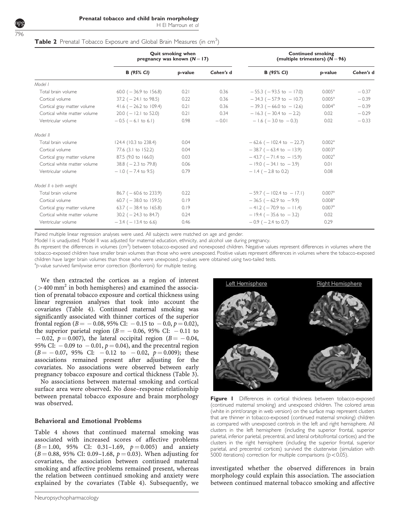H El Marroun et al

# <span id="page-4-0"></span>**Table 2** Prenatal Tobacco Exposure and Global Brain Measures (in cm<sup>3</sup>)

|                              | <b>Quit smoking when</b><br>pregnancy was known $(N=17)$ |         |           | <b>Continued smoking</b><br>(multiple trimesters) $(N = 96)$ |                    |           |  |
|------------------------------|----------------------------------------------------------|---------|-----------|--------------------------------------------------------------|--------------------|-----------|--|
|                              | <b>B</b> (95% CI)                                        | p-value | Cohen's d | <b>B</b> (95% CI)                                            | p-value            | Cohen's d |  |
| Model I                      |                                                          |         |           |                                                              |                    |           |  |
| Total brain volume           | 60.0 ( $-36.9$ to 156.8)                                 | 0.21    | 0.36      | $-55.3$ ( $-93.5$ to $-17.0$ )                               | $0.005^{\text{a}}$ | $-0.37$   |  |
| Cortical volume              | $37.2$ ( $-24.1$ to 98.5)                                | 0.22    | 0.36      | $-34.3$ ( $-57.9$ to $-10.7$ )                               | $0.005^{\text{a}}$ | $-0.39$   |  |
| Cortical gray matter volume  | 41.6 ( $-26.2$ to 109.4)                                 | 0.21    | 0.36      | $-39.3$ ( $-66.0$ to $-12.6$ )                               | 0.004 <sup>a</sup> | $-0.39$   |  |
| Cortical white matter volume | $20.0$ (-12.1 to 52.0)                                   | 0.21    | 0.34      | $-16.3$ ( $-30.4$ to $-2.2$ )                                | 0.02               | $-0.29$   |  |
| Ventricular volume           | $-0.5$ ( $-6.1$ to 6.1)                                  | 0.98    | $-0.01$   | $-1.6$ ( $-3.0$ to $-0.3$ )                                  | 0.02               | $-0.33$   |  |
| Model II                     |                                                          |         |           |                                                              |                    |           |  |
| Total brain volume           | 124.4 (10.3 to 238.4)                                    | 0.04    |           | $-62.6$ ( $-102.4$ to $-22.7$ )                              | 0.002 <sup>a</sup> |           |  |
| Cortical volume              | 77.6 (3.1 to 152.2)                                      | 0.04    |           | $-38.7$ ( $-63.4$ to $-13.9$ )                               | 0.003 <sup>a</sup> |           |  |
| Cortical gray matter volume  | 87.5 (9.0 to 166.0)                                      | 0.03    |           | $-43.7$ ( $-71.4$ to $-15.9$ )                               | 0.002 <sup>a</sup> |           |  |
| Cortical white matter volume | 38.8 ( $-2.3$ to 79.8)                                   | 0.06    |           | $-19.0$ ( $-34.1$ to $-3.9$ )                                | 0.01               |           |  |
| Ventricular volume           | $-1.0$ ( $-7.4$ to 9.5)                                  | 0.79    |           | $-1.4$ ( $-2.8$ to 0.2)                                      | 0.08               |           |  |
| Model $II + birth$ weight    |                                                          |         |           |                                                              |                    |           |  |
| Total brain volume           | $86.7$ ( $-60.6$ to 233.9)                               | 0.22    |           | $-59.7$ ( $-102.4$ to $-17.1$ )                              | 0.007 <sup>a</sup> |           |  |
| Cortical volume              | 60.7 ( $-38.0$ to 159.5)                                 | 0.19    |           | $-36.5$ ( $-62.9$ to $-9.9$ )                                | 0.008 <sup>a</sup> |           |  |
| Cortical gray matter volume  | 63.7 ( $-38.4$ to 165.8)                                 | 0.19    |           | $-41.2$ ( $-70.9$ to $-11.4$ )                               | 0.007 <sup>a</sup> |           |  |
| Cortical white matter volume | $30.2$ ( $-24.3$ to 84.7)                                | 0.24    |           | $-19.4$ ( $-35.6$ to $-3.2$ )                                | 0.02               |           |  |
| Ventricular volume           | $-3.4$ ( $-13.4$ to 6.6)                                 | 0.46    |           | $-0.9$ ( $-2.4$ to 0.7)                                      | 0.29               |           |  |

Paired multiple linear regression analyses were used. All subjects were matched on age and gender.

Model I is unadjusted. Model II was adjusted for maternal education, ethnicity, and alcohol use during pregnancy.

Bs represent the differences in volumes (cm<sup>3</sup>) between tobacco-exposed and nonexposed children. Negative values represent differences in volumes where the tobacco-exposed children have smaller brain volumes than those who were unexposed. Positive values represent differences in volumes where the tobacco-exposed children have larger brain volumes than those who were unexposed. p-values were obtained using two-tailed tests.

 $a_{p}$ -value survived familywise error correction (Bonferroni) for multiple testing.

We then extracted the cortices as a region of interest  $(>400 \text{ mm}^2$  in both hemispheres) and examined the association of prenatal tobacco exposure and cortical thickness using linear regression analyses that took into account the covariates [\(Table 4\)](#page-6-0). Continued maternal smoking was significantly associated with thinner cortices of the superior frontal region ( $B = -0.08$ , 95% CI:  $-0.15$  to  $-0.0$ ,  $p = 0.02$ ), the superior parietal region ( $B = -0.06$ , 95% CI:  $-0.11$  to  $-0.02$ ,  $p = 0.007$ ), the lateral occipital region ( $B = -0.04$ , 95% CI:  $-$  0.09 to  $-$  0.01,  $p$   $=$  0.04), and the precentral region  $(B = -0.07, 95\% \text{ CI: } -0.12 \text{ to } -0.02, p = 0.009); \text{ these}$ associations remained present after adjusting for the covariates. No associations were observed between early pregnancy tobacco exposure and cortical thickness ([Table 3\)](#page-5-0).

No associations between maternal smoking and cortical surface area were observed. No dose–response relationship between prenatal tobacco exposure and brain morphology was observed.

#### Behavioral and Emotional Problems

[Table 4](#page-6-0) shows that continued maternal smoking was associated with increased scores of affective problems  $(B = 1.00, 95\% \text{ CI: } 0.31 - 1.69, p = 0.005) \text{ and anxiety}$  $(B = 0.88, 95\% \text{ CI: } 0.09 - 1.68, p = 0.03)$ . When adjusting for covariates, the association between continued maternal smoking and affective problems remained present, whereas the relation between continued smoking and anxiety were explained by the covariates [\(Table 4](#page-6-0)). Subsequently, we



Figure I Differences in cortical thickness between tobacco-exposed (continued maternal smoking) and unexposed children. The colored areas (white in print/orange in web version) on the surface map represent clusters that are thinner in tobacco-exposed (continued maternal smoking) children as compared with unexposed controls in the left and right hemisphere. All clusters in the left hemisphere (including the superior frontal, superior parietal, inferior parietal, precentral, and lateral orbitofrontal cortices) and the clusters in the right hemisphere (including the superior frontal, superior parietal, and precentral cortices) survived the clusterwise (simulation with 5000 iterations) correction for multiple comparisons ( $p < 0.05$ ).

investigated whether the observed differences in brain morphology could explain this association. The association between continued maternal tobacco smoking and affective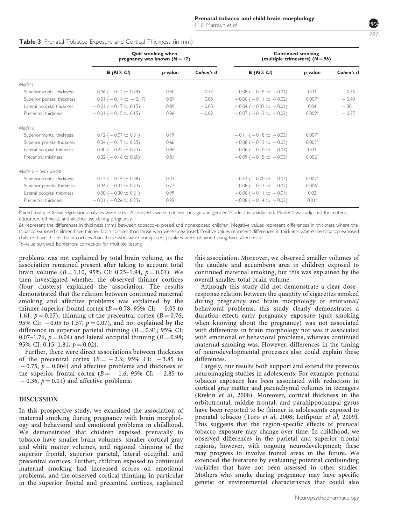|                             | <b>Quit smoking when</b><br>pregnancy was known $(N = 17)$ |         |           | <b>Continued smoking</b><br>(multiple trimesters) $(N = 96)$ |                    |           |  |
|-----------------------------|------------------------------------------------------------|---------|-----------|--------------------------------------------------------------|--------------------|-----------|--|
|                             | <b>B</b> (95% CI)                                          | p-value | Cohen's d | <b>B</b> (95% CI)                                            | p-value            | Cohen's d |  |
| Model I                     |                                                            |         |           |                                                              |                    |           |  |
| Superior frontal thickness  | $0.06$ ( $-0.12$ to 0.24)                                  | 0.50    | 0.32      | $-0.08$ ( $-0.15$ to $-0.01$ )                               | 0.02               | $-0.36$   |  |
| Superior parietal thickness | $0.01$ (-0.14 to -0.17)                                    | 0.87    | 0.05      | $-0.06$ ( $-0.11$ to $-0.02$ )                               | 0.007 <sup>a</sup> | $-0.40$   |  |
| Lateral occipital thickness | $-0.01$ ( $-0.17$ to 0.15)                                 | 0.89    | $-0.05$   | $-0.04$ ( $-0.09$ to $-0.01$ )                               | 0.04               | $-30$     |  |
| Precentral thickness        | $-0.01$ ( $-0.15$ to 0.15)                                 | 0.96    | $-0.02$   | $-0.07$ ( $-0.12$ to $-0.02$ )                               | 0.009 <sup>a</sup> | $-0.37$   |  |
| Model II                    |                                                            |         |           |                                                              |                    |           |  |
| Superior frontal thickness  | $0.12$ ( $-0.07$ to 0.31)                                  | 0.19    |           | $-0.11$ ( $-0.18$ to $-0.03$ )                               | 0.007 <sup>a</sup> |           |  |
| Superior parietal thickness | $0.04$ ( $-0.17$ to 0.25)                                  | 0.66    |           | $-0.08$ ( $-0.13$ to $-0.03$ )                               | 0.003 <sup>a</sup> |           |  |
| Lateral occipital thickness | $0.00$ ( $-0.22$ to 0.23)                                  | 0.96    |           | $-0.06$ ( $-0.10$ to $-0.01$ )                               | 0.02               |           |  |
| Precentral thickness        | $0.02$ ( $-0.16$ to 0.20)                                  | 0.81    |           | $-0.09$ ( $-0.15$ to $-0.03$ )                               | 0.002 <sup>a</sup> |           |  |
| Model $II + birth$ weight   |                                                            |         |           |                                                              |                    |           |  |
| Superior frontal thickness  | $0.12$ (-0.14 to 0.38)                                     | 0.33    |           | $-0.12$ ( $-0.20$ to $-0.03$ )                               | 0.007 <sup>a</sup> |           |  |
| Superior parietal thickness | $-0.04$ ( $-0.31$ to 0.23)                                 | 0.77    |           | $-0.08$ ( $-0.13$ to $-0.02$ )                               | 0.006 <sup>a</sup> |           |  |
| Lateral occipital thickness | $0.00$ ( $-0.30$ to 0.31)                                  | 0.99    |           | $-0.06$ ( $-0.11$ to $-0.01$ )                               | 0.02               |           |  |
| Precentral thickness        | $-0.01$ ( $-0.26$ to 0.23)                                 | 0.92    |           | $-0.08$ ( $-0.14$ to $-0.02$ )                               | 0.01 <sup>a</sup>  |           |  |

## <span id="page-5-0"></span>Table 3 Prenatal Tobacco Exposure and Cortical Thickness (in mm)

Paired multiple linear regression analyses were used. All subjects were matched on age and gender. Model I is unadjusted. Model II was adjusted for maternal education, ethnicity, and alcohol use during pregnancy.

Bs represent the differences in thickness (mm) between tobacco-exposed and nonexposed children. Negative values represent differences in thickness where the tobacco-exposed children have thinner brain cortices than those who were unexposed. Positive values represent differences in thickness where the tobacco-exposed children have thicker brain cortices than those who were unexposed. p-values were obtained using two-tailed tests.

 $a<sub>p</sub>$ -value survived Bonferroni correction for multiple testing.

problems was not explained by total brain volume, as the association remained present after taking to account total brain volume  $(B = 1.10, 95\% \text{ CI: } 0.25-1.94, p = 0.01)$ . We then investigated whether the observed thinner cortices (four clusters) explained the association. The results demonstrated that the relation between continued maternal smoking and affective problems was explained by the thinner superior frontal cortex ( $B = 0.78$ ; 95% CI:  $-0.05$  to 1.61,  $p = 0.07$ ), thinning of the precentral cortex ( $B = 0.76$ ; 95% CI:  $-0.05$  to 1.57,  $p = 0.07$ ), and not explained by the difference in superior parietal thinning ( $B = 0.91$ ; 95% CI: 0.07–1.76,  $p = 0.04$ ) and lateral occipital thinning ( $B = 0.98$ ; 95% CI: 0.15–1.81,  $p = 0.02$ ).

Further, there were direct associations between thickness of the precentral cortex  $(B=-2.3; 95\% \text{ CI: } -3.85 \text{ to }$  $-0.75$ ,  $p = 0.004$ ) and affective problems and thickness of the superior frontal cortex ( $B = -1.6$ ; 95% CI:  $-2.85$  to  $-0.36$ ,  $p = 0.01$ ) and affective problems.

## DISCUSSION

In this prospective study, we examined the association of maternal smoking during pregnancy with brain morphology and behavioral and emotional problems in childhood. We demonstrated that children exposed prenatally to tobacco have smaller brain volumes, smaller cortical gray and white matter volumes, and regional thinning of the superior frontal, superior parietal, lateral occipital, and precentral cortices. Further, children exposed to continued maternal smoking had increased scores on emotional problems, and the observed cortical thinning, in particular in the superior frontal and precentral cortices, explained

this association. Moreover, we observed smaller volumes of the caudate and accumbens area in children exposed to continued maternal smoking, but this was explained by the overall smaller total brain volume.

Although this study did not demonstrate a clear dose– response relation between the quantity of cigarettes smoked during pregnancy and brain morphology or emotional/ behavioral problems, this study clearly demonstrates a duration effect; early pregnancy exposure (quit smoking when knowing about the pregnancy) was not associated with differences in brain morphology nor was it associated with emotional or behavioral problems, whereas continued maternal smoking was. However, differences in the timing of neurodevelopmental processes also could explain these differences.

Largely, our results both support and extend the previous neuroimaging studies in adolescents. For example, prenatal tobacco exposure has been associated with reduction in cortical gray matter and parenchymal volumes in teenagers [\(Rivkin](#page-8-0) et al, 2008). Moreover, cortical thickness in the orbitofrontal, middle frontal, and parahippocampal gyrus have been reported to be thinner in adolescents exposed to prenatal tobacco (Toro et al[, 2008; Lotfipour](#page-8-0) et al, 2009). This suggests that the region-specific effects of prenatal tobacco exposure may change over time. In childhood, we observed differences in the parietal and superior frontal regions, however, with ongoing neurodevelopment; these may progress to involve frontal areas in the future. We extended the literature by evaluating potential confounding variables that have not been assessed in other studies. Mothers who smoke during pregnancy may have specific genetic or environmental characteristics that could also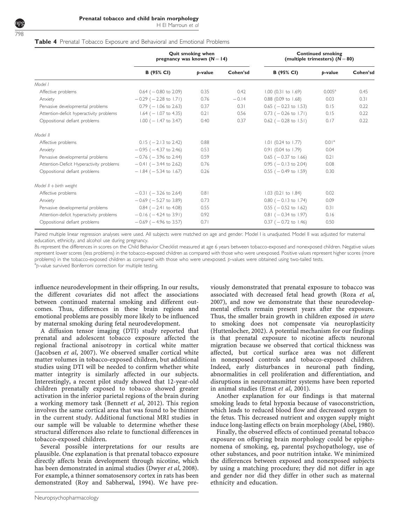H El Marroun et al

#### <span id="page-6-0"></span>Table 4 Prenatal Tobacco Exposure and Behavioral and Emotional Problems

|                                          | <b>Quit smoking when</b><br>pregnancy was known $(N = 14)$ |         |          | <b>Continued smoking</b><br>(multiple trimesters) $(N = 80)$ |                    |          |
|------------------------------------------|------------------------------------------------------------|---------|----------|--------------------------------------------------------------|--------------------|----------|
|                                          | <b>B</b> (95% CI)                                          | b-value | Cohen'sd | <b>B</b> (95% CI)                                            | b-value            | Cohen'sd |
| Model I                                  |                                                            |         |          |                                                              |                    |          |
| Affective problems                       | $0.64$ ( $-0.80$ to 2.09)                                  | 0.35    | 0.42     | $1.00$ (0.31 to 1.69)                                        | $0.005^{\text{a}}$ | 0.45     |
| Anxiety                                  | $-0.29$ ( $-2.28$ to 1.71)                                 | 0.76    | $-0.14$  | $0.88$ (0.09 to 1.68)                                        | 0.03               | 0.31     |
| Pervasive developmental problems         | $0.79$ ( $-1.06$ to 2.63)                                  | 0.37    | 0.31     | $0.65$ ( $-0.23$ to 1.53)                                    | 0.15               | 0.22     |
| Attention-deficit hyperactivity problems | $1.64$ ( $-1.07$ to 4.35)                                  | 0.21    | 0.56     | $0.73$ ( $-0.26$ to 1.71)                                    | 0.15               | 0.22     |
| Oppositional defiant problems            | $1.00$ ( $-1.47$ to 3.47)                                  | 0.40    | 0.37     | $0.62$ ( $-0.28$ to 1.51)                                    | 0.17               | 0.22     |
| Model II                                 |                                                            |         |          |                                                              |                    |          |
| Affective problems                       | $0.15$ ( $-2.13$ to 2.42)                                  | 0.88    |          | $1.01$ (0.24 to 1.77)                                        | 0.01 <sup>a</sup>  |          |
| Anxiety                                  | $-0.95$ ( $-4.37$ to 2.46)                                 | 0.53    |          | 0.91 (0.04 to 1.79)                                          | 0.04               |          |
| Pervasive developmental problems         | $-0.76$ ( $-3.96$ to 2.44)                                 | 0.59    |          | $0.65$ ( $-0.37$ to 1.66)                                    | 0.21               |          |
| Attention-Deficit Hyperactivity problems | $-0.41$ ( $-3.44$ to 2.62)                                 | 0.76    |          | $0.95$ ( $-0.13$ to 2.04)                                    | 0.08               |          |
| Oppositional defiant problems            | $-1.84$ ( $-5.34$ to 1.67)                                 | 0.26    |          | $0.55$ ( $-0.49$ to 1.59)                                    | 0.30               |          |
| Model $II + birth$ weight                |                                                            |         |          |                                                              |                    |          |
| Affective problems                       | $-0.31$ ( $-3.26$ to 2.64)                                 | 0.81    |          | $1.03$ (0.21 to 1.84)                                        | 0.02               |          |
| Anxiety                                  | $-0.69$ ( $-5.27$ to 3.89)                                 | 0.73    |          | $0.80$ ( $-0.13$ to 1.74)                                    | 0.09               |          |
| Pervasive developmental problems         | $0.84$ ( $-2.41$ to 4.08)                                  | 0.55    |          | $0.55$ ( $-0.52$ to 1.62)                                    | 0.31               |          |
| Attention-deficit hyperactivity problems | $-0.16$ ( $-4.24$ to 3.91)                                 | 0.92    |          | $0.81$ (-0.34 to 1.97)                                       | 0.16               |          |
| Oppositional defiant problems            | $-0.69$ ( $-4.96$ to 3.57)                                 | 0.71    |          | $0.37$ ( $-0.72$ to 1.46)                                    | 0.50               |          |

Paired multiple linear regression analyses were used. All subjects were matched on age and gender. Model I is unadjusted. Model II was adjusted for maternal education, ethnicity, and alcohol use during pregnancy.

Bs represent the differences in scores on the Child Behavior Checklist measured at age 6 years between tobacco-exposed and nonexposed children. Negative values represent lower scores (less problems) in the tobacco-exposed children as compared with those who were unexposed. Positive values represent higher scores (more problems) in the tobacco-exposed children as compared with those who were unexposed. p-values were obtained using two-tailed tests.

<sup>a</sup>p-value survived Bonferroni correction for multiple testing.

influence neurodevelopment in their offspring. In our results, the different covariates did not affect the associations between continued maternal smoking and different outcomes. Thus, differences in these brain regions and emotional problems are possibly more likely to be influenced by maternal smoking during fetal neurodevelopment.

A diffusion tensor imaging (DTI) study reported that prenatal and adolescent tobacco exposure affected the regional fractional anisotropy in cortical white matter ([Jacobsen](#page-8-0) et al, 2007). We observed smaller cortical white matter volumes in tobacco-exposed children, but additional studies using DTI will be needed to confirm whether white matter integrity is similarly affected in our subjects. Interestingly, a recent pilot study showed that 12-year-old children prenatally exposed to tobacco showed greater activation in the inferior parietal regions of the brain during a working memory task ([Bennett](#page-7-0) et al, 2012). This region involves the same cortical area that was found to be thinner in the current study. Additional functional MRI studies in our sample will be valuable to determine whether these structural differences also relate to functional differences in tobacco-exposed children.

Several possible interpretations for our results are plausible. One explanation is that prenatal tobacco exposure directly affects brain development through nicotine, which has been demonstrated in animal studies [\(Dwyer](#page-7-0) et al, 2008). For example, a thinner somatosensory cortex in rats has been demonstrated [\(Roy and Sabherwal, 1994](#page-8-0)). We have previously demonstrated that prenatal exposure to tobacco was associated with decreased fetal head growth [\(Roza](#page-8-0) et al, [2007](#page-8-0)), and now we demonstrate that these neurodevelopmental effects remain present years after the exposure. Thus, the smaller brain growth in children exposed in utero to smoking does not compensate via neuroplasticity ([Huttenlocher, 2002\)](#page-8-0). A potential mechanism for our findings is that prenatal exposure to nicotine affects neuronal migration because we observed that cortical thickness was affected, but cortical surface area was not different in nonexposed controls and tobacco-exposed children. Indeed, early disturbances in neuronal path finding, abnormalities in cell proliferation and differentiation, and disruptions in neurotransmitter systems have been reported in animal studies (Ernst et al[, 2001](#page-8-0)).

Another explanation for our findings is that maternal smoking leads to fetal hypoxia because of vasoconstriction, which leads to reduced blood flow and decreased oxygen to the fetus. This decreased nutrient and oxygen supply might induce long-lasting effects on brain morphology ([Abel, 1980](#page-7-0)).

Finally, the observed effects of continued prenatal tobacco exposure on offspring brain morphology could be epiphenomena of smoking, eg, parental psychopathology, use of other substances, and poor nutrition intake. We minimized the differences between exposed and nonexposed subjects by using a matching procedure; they did not differ in age and gender nor did they differ in other such as maternal ethnicity and education.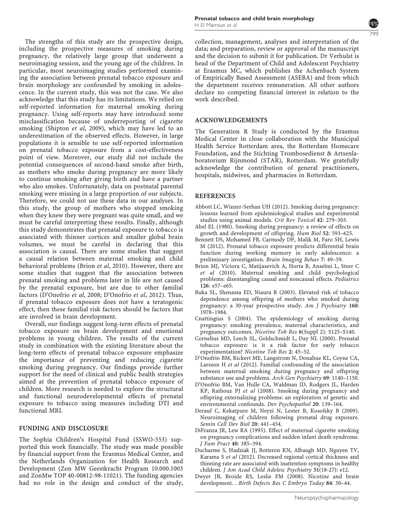<span id="page-7-0"></span>The strengths of this study are the prospective design, including the prospective measures of smoking during pregnancy, the relatively large group that underwent a neuroimaging session, and the young age of the children. In particular, most neuroimaging studies performed examining the association between prenatal tobacco exposure and brain morphology are confounded by smoking in adolescence. In the current study, this was not the case. We also acknowledge that this study has its limitations. We relied on self-reported information for maternal smoking during pregnancy. Using self-reports may have introduced some misclassification because of underreporting of cigarette smoking [\(Shipton](#page-8-0) et al, 2009), which may have led to an underestimation of the observed effects. However, in large populations it is sensible to use self-reported information on prenatal tobacco exposure from a cost-effectiveness point of view. Moreover, our study did not include the potential consequences of second-hand smoke after birth, as mothers who smoke during pregnancy are more likely to continue smoking after giving birth and have a partner who also smokes. Unfortunately, data on postnatal parental smoking were missing in a large proportion of our subjects. Therefore, we could not use these data in our analyses. In this study, the group of mothers who stopped smoking when they knew they were pregnant was quite small, and we must be careful interpreting these results. Finally, although this study demonstrates that prenatal exposure to tobacco is associated with thinner cortices and smaller global brain volumes, we must be careful in declaring that this association is causal. There are some studies that suggest a causal relation between maternal smoking and child behavioral problems (Brion et al, 2010). However, there are some studies that suggest that the association between prenatal smoking and problems later in life are not caused by the prenatal exposure, but are due to other familial factors (D'Onofrio et al, 2008; D'Onofrio et al, 2012). Thus, if prenatal tobacco exposure does not have a teratogenic effect, then these familial risk factors should be factors that are involved in brain development.

Overall, our findings suggest long-term effects of prenatal tobacco exposure on brain development and emotional problems in young children. The results of the current study in combination with the existing literature about the long-term effects of prenatal tobacco exposure emphasize the importance of preventing and reducing cigarette smoking during pregnancy. Our findings provide further support for the need of clinical and public health strategies aimed at the prevention of prenatal tobacco exposure of children. More research is needed to explore the structural and functional neurodevelopmental effects of prenatal exposure to tobacco using measures including DTI and functional MRI.

# FUNDING AND DISCLOSURE

The Sophia Children's Hospital Fund (SSWO-553) supported this work financially. The study was made possible by financial support from the Erasmus Medical Center, and the Netherlands Organization for Health Research and Development (Zon MW Geestkracht Program 10.000.1003 and ZonMw TOP 40-00812-98-11021). The funding agencies had no role in the design and conduct of the study, collection, management, analyses and interpretation of the data; and preparation, review or approval of the manuscript and the decision to submit it for publication. Dr Verhulst is head of the Department of Child and Adolescent Psychiatry at Erasmus MC, which publishes the Achenbach System of Empirically Based Assessment (ASEBA) and from which the department receives remuneration. All other authors declare no competing financial interest in relation to the work described.

### ACKNOWLEDGEMENTS

The Generation R Study is conducted by the Erasmus Medical Center in close collaboration with the Municipal Health Service Rotterdam area, the Rotterdam Homecare Foundation, and the Stichting Trombosedienst & Artsenlaboratorium Rijnmond (STAR), Rotterdam. We gratefully acknowledge the contribution of general practitioners, hospitals, midwives, and pharmacies in Rotterdam.

### **REFERENCES**

- Abbott LC, Winzer-Serhan UH (2012). Smoking during pregnancy: lessons learned from epidemiological studies and experimental studies using animal models. Crit Rev Toxicol 42: 279–303.
- Abel EL (1980). Smoking during pregnancy: a review of effects on growth and development of offspring. Hum Biol 52: 593–625.
- Bennett DS, Mohamed FB, Carmody DP, Malik M, Faro SH, Lewis M (2012). Prenatal tobacco exposure predicts differential brain function during working memory in early adolescence: a preliminary investigation. Brain Imaging Behav 7: 49–59.
- Brion MJ, Victora C, Matijasevich A, Horta B, Anselmi L, Steer C et al (2010). Maternal smoking and child psychological problems: disentangling causal and noncausal effects. Pediatrics 126: e57–e65.
- Buka SL, Shenassa ED, Niaura R (2003). Elevated risk of tobacco dependence among offspring of mothers who smoked during pregnancy: a 30-year prospective study. Am J Psychiatry 160: 1978–1984.
- Cnattingius S (2004). The epidemiology of smoking during pregnancy: smoking prevalence, maternal characteristics, and pregnancy outcomes. Nicotine Tob Res 6(Suppl 2): S125–S140.
- Cornelius MD, Leech SL, Goldschmidt L, Day NL (2000). Prenatal tobacco exposure: is it a risk factor for early tobacco experimentation? Nicotine Tob Res 2: 45–52.
- D'Onofrio BM, Rickert ME, Langstrom N, Donahue KL, Coyne CA, Larsson H et al (2012). Familial confounding of the association between maternal smoking during pregnancy and offspring substance use and problems. Arch Gen Psychiatry 69: 1140–1150.
- D'Onofrio BM, Van Hulle CA, Waldman ID, Rodgers JL, Harden KP, Rathouz PJ et al (2008). Smoking during pregnancy and offspring externalizing problems: an exploration of genetic and environmental confounds. Dev Psychopathol 20: 139–164.
- Derauf C, Kekatpure M, Neyzi N, Lester B, Kosofsky B (2009). Neuroimaging of children following prenatal drug exposure. Semin Cell Dev Biol 20: 441–454.
- DiFranza JR, Lew RA (1995). Effect of maternal cigarette smoking on pregnancy complications and sudden infant death syndrome. J Fam Pract 40: 385–394.
- Ducharme S, Hudziak JJ, Botteron KN, Albaugh MD, Nguyen TV, Karama S et al (2012). Decreased regional cortical thickness and thinning rate are associated with inattention symptoms in healthy children. J Am Acad Child Adolesc Psychiatry 51(18-27): e12.
- Dwyer JB, Broide RS, Leslie FM (2008). Nicotine and brain development. . Birth Defects Res C Embryo Today 84: 30–44.